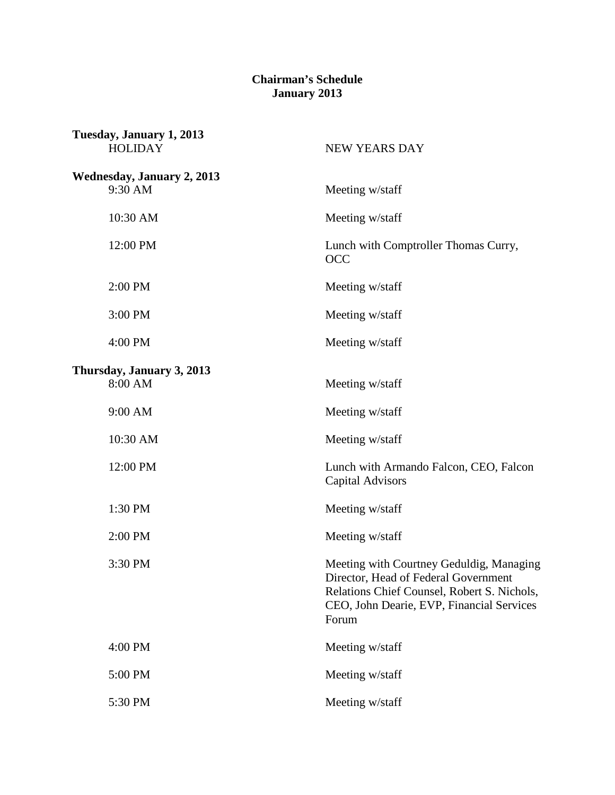## **Chairman's Schedule January 2013**

| Tuesday, January 1, 2013<br><b>HOLIDAY</b>   | <b>NEW YEARS DAY</b>                                                                                                                                                                  |
|----------------------------------------------|---------------------------------------------------------------------------------------------------------------------------------------------------------------------------------------|
| <b>Wednesday, January 2, 2013</b><br>9:30 AM | Meeting w/staff                                                                                                                                                                       |
| 10:30 AM                                     | Meeting w/staff                                                                                                                                                                       |
| 12:00 PM                                     | Lunch with Comptroller Thomas Curry,<br><b>OCC</b>                                                                                                                                    |
| 2:00 PM                                      | Meeting w/staff                                                                                                                                                                       |
| 3:00 PM                                      | Meeting w/staff                                                                                                                                                                       |
| 4:00 PM                                      | Meeting w/staff                                                                                                                                                                       |
| Thursday, January 3, 2013<br>8:00 AM         | Meeting w/staff                                                                                                                                                                       |
| 9:00 AM                                      | Meeting w/staff                                                                                                                                                                       |
| 10:30 AM                                     | Meeting w/staff                                                                                                                                                                       |
| 12:00 PM                                     | Lunch with Armando Falcon, CEO, Falcon<br><b>Capital Advisors</b>                                                                                                                     |
| 1:30 PM                                      | Meeting w/staff                                                                                                                                                                       |
| 2:00 PM                                      | Meeting w/staff                                                                                                                                                                       |
| 3:30 PM                                      | Meeting with Courtney Geduldig, Managing<br>Director, Head of Federal Government<br>Relations Chief Counsel, Robert S. Nichols,<br>CEO, John Dearie, EVP, Financial Services<br>Forum |
| 4:00 PM                                      | Meeting w/staff                                                                                                                                                                       |
| 5:00 PM                                      | Meeting w/staff                                                                                                                                                                       |
| 5:30 PM                                      | Meeting w/staff                                                                                                                                                                       |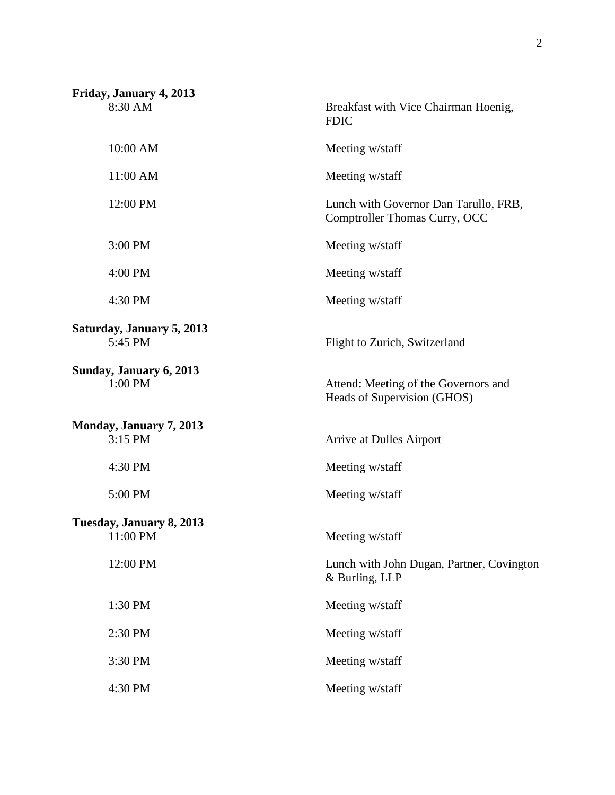| Friday, January 4, 2013              |                                                                        |
|--------------------------------------|------------------------------------------------------------------------|
| 8:30 AM                              | Breakfast with Vice Chairman Hoenig,<br><b>FDIC</b>                    |
| 10:00 AM                             | Meeting w/staff                                                        |
| 11:00 AM                             | Meeting w/staff                                                        |
| 12:00 PM                             | Lunch with Governor Dan Tarullo, FRB,<br>Comptroller Thomas Curry, OCC |
| 3:00 PM                              | Meeting w/staff                                                        |
| 4:00 PM                              | Meeting w/staff                                                        |
| 4:30 PM                              | Meeting w/staff                                                        |
| Saturday, January 5, 2013<br>5:45 PM | Flight to Zurich, Switzerland                                          |
| Sunday, January 6, 2013<br>1:00 PM   | Attend: Meeting of the Governors and<br>Heads of Supervision (GHOS)    |
| Monday, January 7, 2013<br>3:15 PM   | Arrive at Dulles Airport                                               |
| 4:30 PM                              | Meeting w/staff                                                        |
| 5:00 PM                              | Meeting w/staff                                                        |
| Tuesday, January 8, 2013<br>11:00 PM | Meeting w/staff                                                        |
| 12:00 PM                             | Lunch with John Dugan, Partner, Covington<br>& Burling, LLP            |
| 1:30 PM                              | Meeting w/staff                                                        |
| 2:30 PM                              | Meeting w/staff                                                        |
| 3:30 PM                              | Meeting w/staff                                                        |
| 4:30 PM                              | Meeting w/staff                                                        |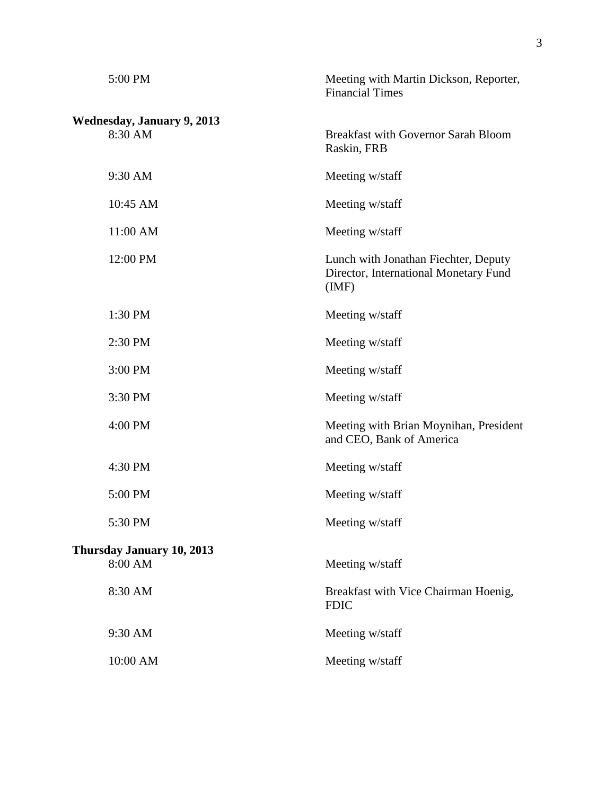| 5:00 PM                           | Meeting with Martin Dickson, Reporter,<br><b>Financial Times</b>                      |
|-----------------------------------|---------------------------------------------------------------------------------------|
| <b>Wednesday, January 9, 2013</b> |                                                                                       |
| 8:30 AM                           | <b>Breakfast with Governor Sarah Bloom</b><br>Raskin, FRB                             |
| 9:30 AM                           | Meeting w/staff                                                                       |
| 10:45 AM                          | Meeting w/staff                                                                       |
| 11:00 AM                          | Meeting w/staff                                                                       |
| 12:00 PM                          | Lunch with Jonathan Fiechter, Deputy<br>Director, International Monetary Fund<br>(MF) |
| 1:30 PM                           | Meeting w/staff                                                                       |
| 2:30 PM                           | Meeting w/staff                                                                       |
| 3:00 PM                           | Meeting w/staff                                                                       |
| 3:30 PM                           | Meeting w/staff                                                                       |
| 4:00 PM                           | Meeting with Brian Moynihan, President<br>and CEO, Bank of America                    |
| 4:30 PM                           | Meeting w/staff                                                                       |
| 5:00 PM                           | Meeting w/staff                                                                       |
| 5:30 PM                           | Meeting w/staff                                                                       |
| <b>Thursday January 10, 2013</b>  |                                                                                       |
| 8:00 AM                           | Meeting w/staff                                                                       |
| 8:30 AM                           | Breakfast with Vice Chairman Hoenig,<br><b>FDIC</b>                                   |
| 9:30 AM                           | Meeting w/staff                                                                       |
| 10:00 AM                          | Meeting w/staff                                                                       |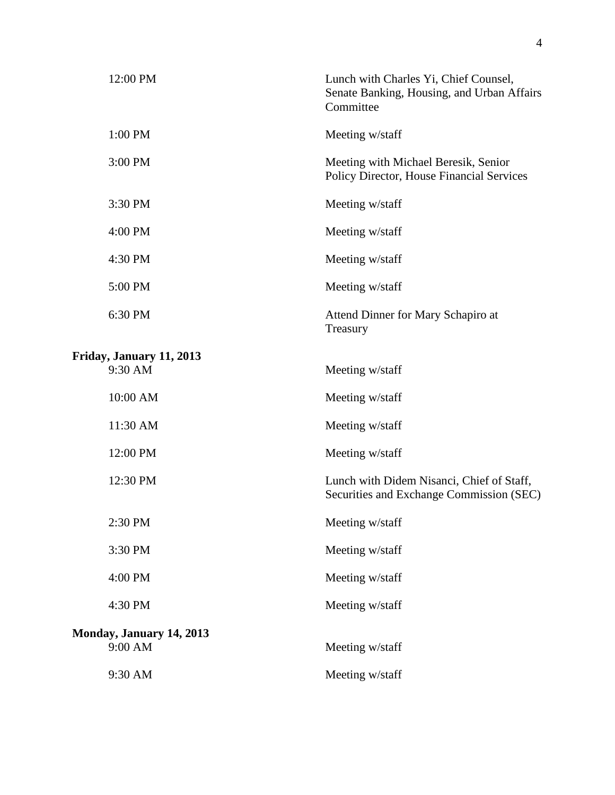| 12:00 PM                            | Lunch with Charles Yi, Chief Counsel,<br>Senate Banking, Housing, and Urban Affairs<br>Committee |
|-------------------------------------|--------------------------------------------------------------------------------------------------|
| 1:00 PM                             | Meeting w/staff                                                                                  |
| 3:00 PM                             | Meeting with Michael Beresik, Senior<br>Policy Director, House Financial Services                |
| 3:30 PM                             | Meeting w/staff                                                                                  |
| 4:00 PM                             | Meeting w/staff                                                                                  |
| 4:30 PM                             | Meeting w/staff                                                                                  |
| 5:00 PM                             | Meeting w/staff                                                                                  |
| 6:30 PM                             | Attend Dinner for Mary Schapiro at<br>Treasury                                                   |
| Friday, January 11, 2013            |                                                                                                  |
| 9:30 AM                             | Meeting w/staff                                                                                  |
| 10:00 AM                            | Meeting w/staff                                                                                  |
| 11:30 AM                            | Meeting w/staff                                                                                  |
| 12:00 PM                            | Meeting w/staff                                                                                  |
| 12:30 PM                            | Lunch with Didem Nisanci, Chief of Staff,<br>Securities and Exchange Commission (SEC)            |
| 2:30 PM                             | Meeting w/staff                                                                                  |
| 3:30 PM                             | Meeting w/staff                                                                                  |
| 4:00 PM                             | Meeting w/staff                                                                                  |
| 4:30 PM                             | Meeting w/staff                                                                                  |
| Monday, January 14, 2013<br>9:00 AM | Meeting w/staff                                                                                  |
| 9:30 AM                             | Meeting w/staff                                                                                  |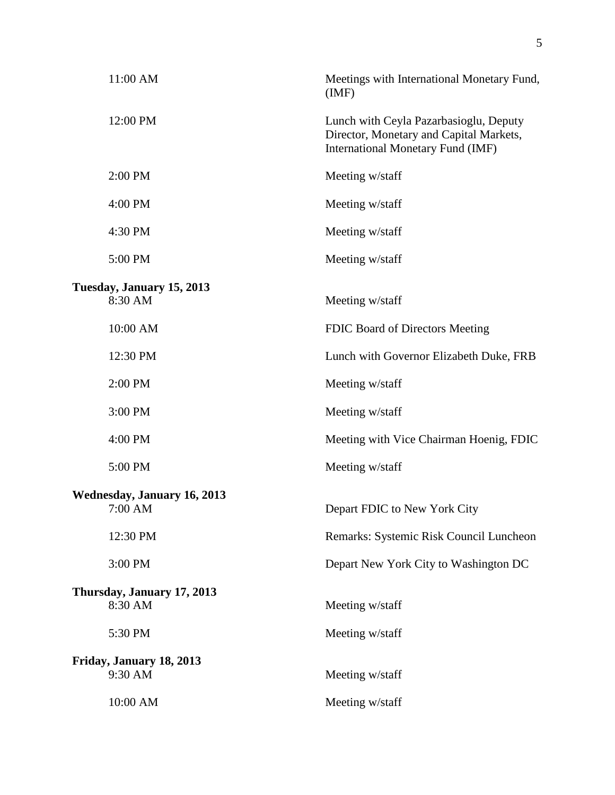| Meetings with International Monetary Fund,<br>(MF)                                                                     |
|------------------------------------------------------------------------------------------------------------------------|
| Lunch with Ceyla Pazarbasioglu, Deputy<br>Director, Monetary and Capital Markets,<br>International Monetary Fund (IMF) |
| Meeting w/staff                                                                                                        |
| Meeting w/staff                                                                                                        |
| Meeting w/staff                                                                                                        |
| Meeting w/staff                                                                                                        |
|                                                                                                                        |
| Meeting w/staff                                                                                                        |
| FDIC Board of Directors Meeting                                                                                        |
| Lunch with Governor Elizabeth Duke, FRB                                                                                |
| Meeting w/staff                                                                                                        |
| Meeting w/staff                                                                                                        |
| Meeting with Vice Chairman Hoenig, FDIC                                                                                |
| Meeting w/staff                                                                                                        |
|                                                                                                                        |
| Depart FDIC to New York City                                                                                           |
| Remarks: Systemic Risk Council Luncheon                                                                                |
| Depart New York City to Washington DC                                                                                  |
| Meeting w/staff                                                                                                        |
| Meeting w/staff                                                                                                        |
|                                                                                                                        |
| Meeting w/staff                                                                                                        |
| Meeting w/staff                                                                                                        |
|                                                                                                                        |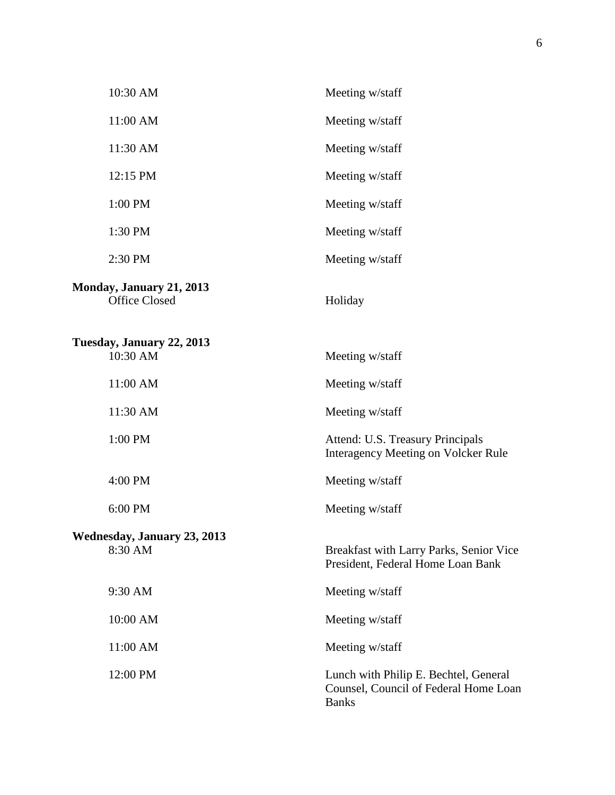| 10:30 AM                                                | Meeting w/staff                                                                                |
|---------------------------------------------------------|------------------------------------------------------------------------------------------------|
| 11:00 AM                                                | Meeting w/staff                                                                                |
| 11:30 AM                                                | Meeting w/staff                                                                                |
| 12:15 PM                                                | Meeting w/staff                                                                                |
| 1:00 PM                                                 | Meeting w/staff                                                                                |
| 1:30 PM                                                 | Meeting w/staff                                                                                |
| 2:30 PM                                                 | Meeting w/staff                                                                                |
| <b>Monday, January 21, 2013</b><br><b>Office Closed</b> | Holiday                                                                                        |
| Tuesday, January 22, 2013<br>10:30 AM                   | Meeting w/staff                                                                                |
| 11:00 AM                                                | Meeting w/staff                                                                                |
| 11:30 AM                                                | Meeting w/staff                                                                                |
| 1:00 PM                                                 | Attend: U.S. Treasury Principals<br><b>Interagency Meeting on Volcker Rule</b>                 |
| 4:00 PM                                                 | Meeting w/staff                                                                                |
| 6:00 PM                                                 | Meeting w/staff                                                                                |
| Wednesday, January 23, 2013<br>8:30 AM                  | Breakfast with Larry Parks, Senior Vice<br>President, Federal Home Loan Bank                   |
| 9:30 AM                                                 | Meeting w/staff                                                                                |
| 10:00 AM                                                | Meeting w/staff                                                                                |
| 11:00 AM                                                | Meeting w/staff                                                                                |
| 12:00 PM                                                | Lunch with Philip E. Bechtel, General<br>Counsel, Council of Federal Home Loan<br><b>Banks</b> |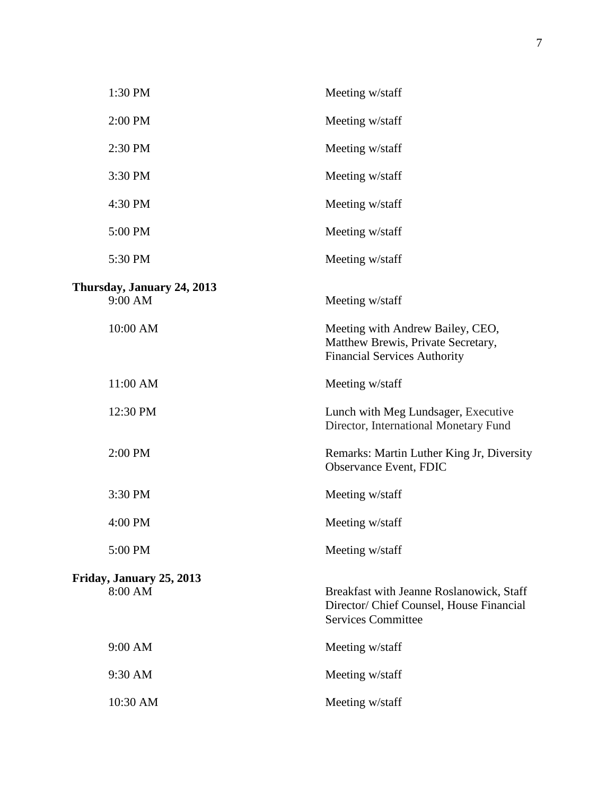| 1:30 PM                               | Meeting w/staff                                                                                                   |
|---------------------------------------|-------------------------------------------------------------------------------------------------------------------|
| 2:00 PM                               | Meeting w/staff                                                                                                   |
| 2:30 PM                               | Meeting w/staff                                                                                                   |
| 3:30 PM                               | Meeting w/staff                                                                                                   |
| 4:30 PM                               | Meeting w/staff                                                                                                   |
| 5:00 PM                               | Meeting w/staff                                                                                                   |
| 5:30 PM                               | Meeting w/staff                                                                                                   |
| Thursday, January 24, 2013<br>9:00 AM | Meeting w/staff                                                                                                   |
| 10:00 AM                              | Meeting with Andrew Bailey, CEO,<br>Matthew Brewis, Private Secretary,<br><b>Financial Services Authority</b>     |
| 11:00 AM                              | Meeting w/staff                                                                                                   |
| 12:30 PM                              | Lunch with Meg Lundsager, Executive<br>Director, International Monetary Fund                                      |
| 2:00 PM                               | Remarks: Martin Luther King Jr, Diversity<br>Observance Event, FDIC                                               |
| 3:30 PM                               | Meeting w/staff                                                                                                   |
| 4:00 PM                               | Meeting w/staff                                                                                                   |
| 5:00 PM                               | Meeting w/staff                                                                                                   |
| Friday, January 25, 2013<br>8:00 AM   | Breakfast with Jeanne Roslanowick, Staff<br>Director/ Chief Counsel, House Financial<br><b>Services Committee</b> |
| 9:00 AM                               | Meeting w/staff                                                                                                   |
| 9:30 AM                               | Meeting w/staff                                                                                                   |
| 10:30 AM                              | Meeting w/staff                                                                                                   |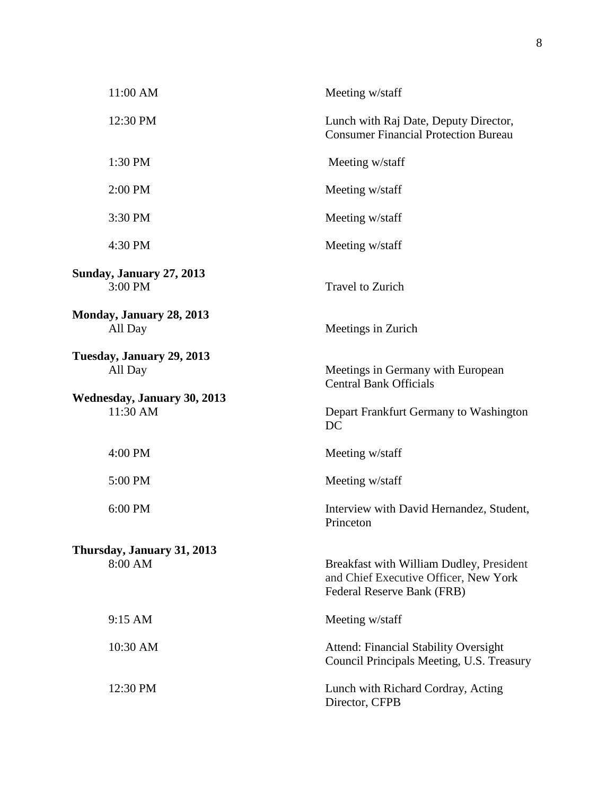| 11:00 AM                                       | Meeting w/staff                                                                                                 |
|------------------------------------------------|-----------------------------------------------------------------------------------------------------------------|
| 12:30 PM                                       | Lunch with Raj Date, Deputy Director,<br><b>Consumer Financial Protection Bureau</b>                            |
| 1:30 PM                                        | Meeting w/staff                                                                                                 |
| 2:00 PM                                        | Meeting w/staff                                                                                                 |
| 3:30 PM                                        | Meeting w/staff                                                                                                 |
| 4:30 PM                                        | Meeting w/staff                                                                                                 |
| <b>Sunday, January 27, 2013</b><br>3:00 PM     | <b>Travel to Zurich</b>                                                                                         |
| Monday, January 28, 2013<br>All Day            | Meetings in Zurich                                                                                              |
| Tuesday, January 29, 2013<br>All Day           | Meetings in Germany with European<br><b>Central Bank Officials</b>                                              |
| <b>Wednesday, January 30, 2013</b><br>11:30 AM | Depart Frankfurt Germany to Washington<br>DC                                                                    |
| 4:00 PM                                        | Meeting w/staff                                                                                                 |
| 5:00 PM                                        | Meeting w/staff                                                                                                 |
| 6:00 PM                                        | Interview with David Hernandez, Student,<br>Princeton                                                           |
| Thursday, January 31, 2013                     |                                                                                                                 |
| 8:00 AM                                        | Breakfast with William Dudley, President<br>and Chief Executive Officer, New York<br>Federal Reserve Bank (FRB) |
| 9:15 AM                                        | Meeting w/staff                                                                                                 |
| 10:30 AM                                       | <b>Attend: Financial Stability Oversight</b><br>Council Principals Meeting, U.S. Treasury                       |
| 12:30 PM                                       | Lunch with Richard Cordray, Acting<br>Director, CFPB                                                            |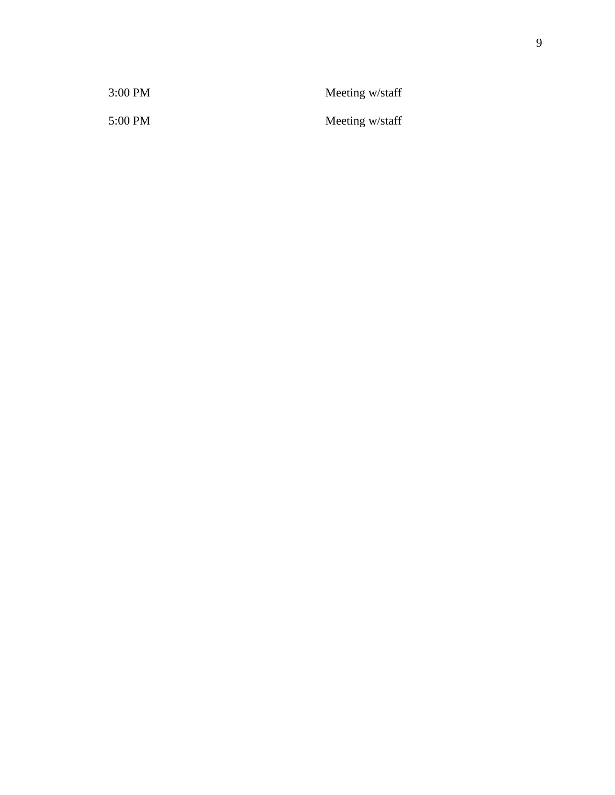| 3:00 PM | Meeting w/staff |
|---------|-----------------|
| 5:00 PM | Meeting w/staff |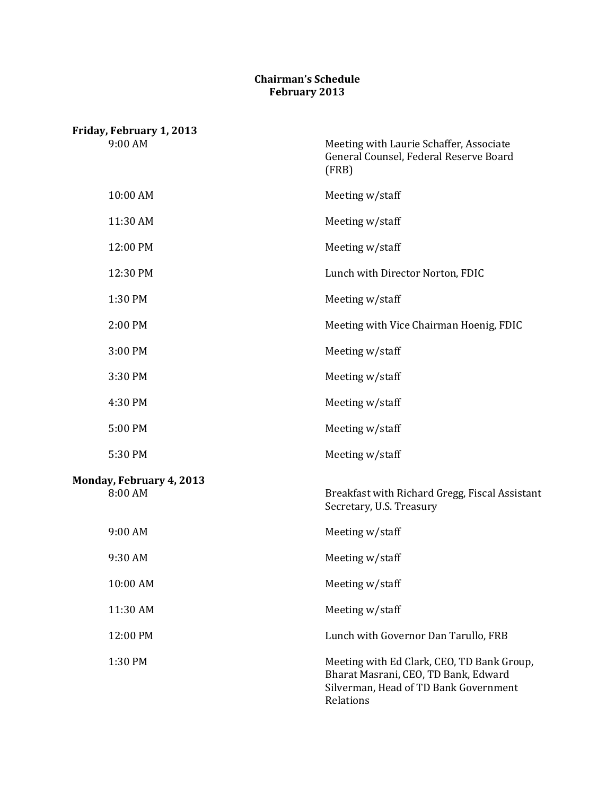## **Chairman's Schedule February 2013**

| Friday, February 1, 2013            |                                                                                                                                          |
|-------------------------------------|------------------------------------------------------------------------------------------------------------------------------------------|
| 9:00 AM                             | Meeting with Laurie Schaffer, Associate<br>General Counsel, Federal Reserve Board<br>(FRB)                                               |
| 10:00 AM                            | Meeting w/staff                                                                                                                          |
| 11:30 AM                            | Meeting w/staff                                                                                                                          |
| 12:00 PM                            | Meeting w/staff                                                                                                                          |
| 12:30 PM                            | Lunch with Director Norton, FDIC                                                                                                         |
| 1:30 PM                             | Meeting w/staff                                                                                                                          |
| 2:00 PM                             | Meeting with Vice Chairman Hoenig, FDIC                                                                                                  |
| 3:00 PM                             | Meeting w/staff                                                                                                                          |
| 3:30 PM                             | Meeting w/staff                                                                                                                          |
| 4:30 PM                             | Meeting w/staff                                                                                                                          |
| 5:00 PM                             | Meeting w/staff                                                                                                                          |
| 5:30 PM                             | Meeting w/staff                                                                                                                          |
| Monday, February 4, 2013<br>8:00 AM | Breakfast with Richard Gregg, Fiscal Assistant<br>Secretary, U.S. Treasury                                                               |
| 9:00 AM                             | Meeting w/staff                                                                                                                          |
| 9:30 AM                             | Meeting w/staff                                                                                                                          |
| 10:00 AM                            | Meeting w/staff                                                                                                                          |
| 11:30 AM                            | Meeting w/staff                                                                                                                          |
| 12:00 PM                            | Lunch with Governor Dan Tarullo, FRB                                                                                                     |
| 1:30 PM                             | Meeting with Ed Clark, CEO, TD Bank Group,<br>Bharat Masrani, CEO, TD Bank, Edward<br>Silverman, Head of TD Bank Government<br>Relations |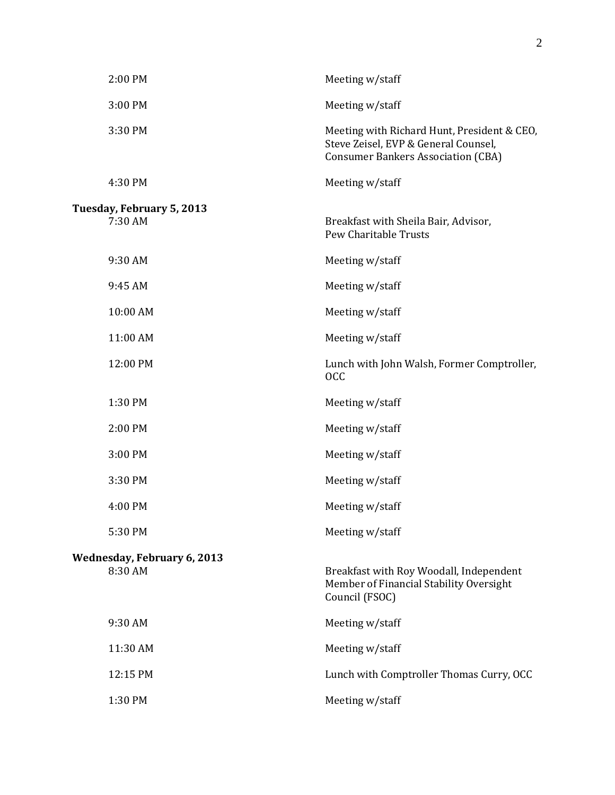| 2:00 PM                            | Meeting w/staff                                                                                                                  |
|------------------------------------|----------------------------------------------------------------------------------------------------------------------------------|
| 3:00 PM                            | Meeting w/staff                                                                                                                  |
| 3:30 PM                            | Meeting with Richard Hunt, President & CEO,<br>Steve Zeisel, EVP & General Counsel,<br><b>Consumer Bankers Association (CBA)</b> |
| 4:30 PM                            | Meeting w/staff                                                                                                                  |
| Tuesday, February 5, 2013          |                                                                                                                                  |
| 7:30 AM                            | Breakfast with Sheila Bair, Advisor,<br>Pew Charitable Trusts                                                                    |
| 9:30 AM                            | Meeting w/staff                                                                                                                  |
| 9:45 AM                            | Meeting w/staff                                                                                                                  |
| 10:00 AM                           | Meeting w/staff                                                                                                                  |
| 11:00 AM                           | Meeting w/staff                                                                                                                  |
| 12:00 PM                           | Lunch with John Walsh, Former Comptroller,<br><b>OCC</b>                                                                         |
| 1:30 PM                            | Meeting w/staff                                                                                                                  |
| 2:00 PM                            | Meeting w/staff                                                                                                                  |
| 3:00 PM                            | Meeting w/staff                                                                                                                  |
| 3:30 PM                            | Meeting w/staff                                                                                                                  |
| 4:00 PM                            | Meeting w/staff                                                                                                                  |
| 5:30 PM                            | Meeting w/staff                                                                                                                  |
| <b>Wednesday, February 6, 2013</b> |                                                                                                                                  |
| 8:30 AM                            | Breakfast with Roy Woodall, Independent<br>Member of Financial Stability Oversight<br>Council (FSOC)                             |
| 9:30 AM                            | Meeting w/staff                                                                                                                  |
| 11:30 AM                           | Meeting w/staff                                                                                                                  |
| 12:15 PM                           | Lunch with Comptroller Thomas Curry, OCC                                                                                         |
| 1:30 PM                            | Meeting w/staff                                                                                                                  |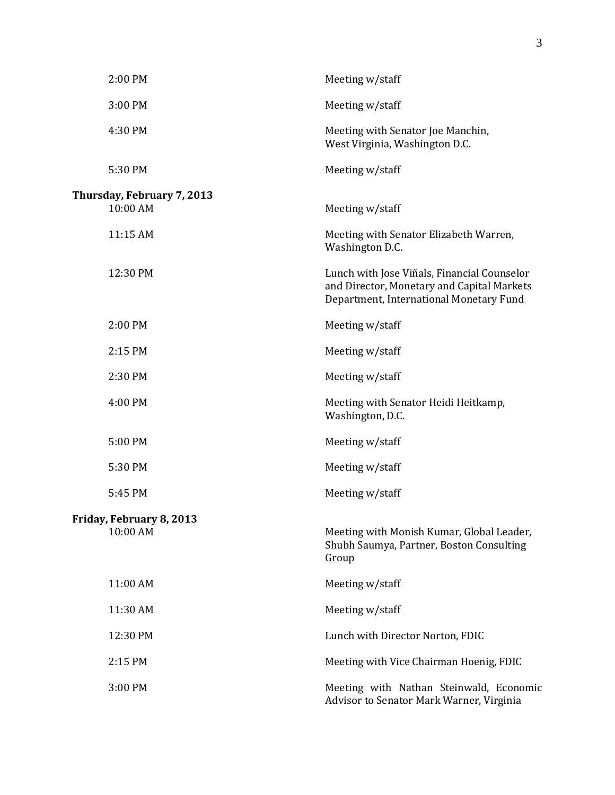| 2:00 PM                                | Meeting w/staff                                                                                                                      |
|----------------------------------------|--------------------------------------------------------------------------------------------------------------------------------------|
| 3:00 PM                                | Meeting w/staff                                                                                                                      |
| 4:30 PM                                | Meeting with Senator Joe Manchin,<br>West Virginia, Washington D.C.                                                                  |
| 5:30 PM                                | Meeting w/staff                                                                                                                      |
| Thursday, February 7, 2013<br>10:00 AM |                                                                                                                                      |
|                                        | Meeting w/staff                                                                                                                      |
| 11:15 AM                               | Meeting with Senator Elizabeth Warren,<br>Washington D.C.                                                                            |
| 12:30 PM                               | Lunch with Jose Viñals, Financial Counselor<br>and Director, Monetary and Capital Markets<br>Department, International Monetary Fund |
| 2:00 PM                                | Meeting w/staff                                                                                                                      |
| 2:15 PM                                | Meeting w/staff                                                                                                                      |
| 2:30 PM                                | Meeting w/staff                                                                                                                      |
| 4:00 PM                                | Meeting with Senator Heidi Heitkamp,<br>Washington, D.C.                                                                             |
| 5:00 PM                                | Meeting w/staff                                                                                                                      |
| 5:30 PM                                | Meeting w/staff                                                                                                                      |
| 5:45 PM                                | Meeting w/staff                                                                                                                      |
| Friday, February 8, 2013               |                                                                                                                                      |
| 10:00 AM                               | Meeting with Monish Kumar, Global Leader,<br>Shubh Saumya, Partner, Boston Consulting<br>Group                                       |
| 11:00 AM                               | Meeting w/staff                                                                                                                      |
| 11:30 AM                               | Meeting w/staff                                                                                                                      |
| 12:30 PM                               | Lunch with Director Norton, FDIC                                                                                                     |
| 2:15 PM                                | Meeting with Vice Chairman Hoenig, FDIC                                                                                              |
| 3:00 PM                                | Meeting with Nathan Steinwald, Economic<br>Advisor to Senator Mark Warner, Virginia                                                  |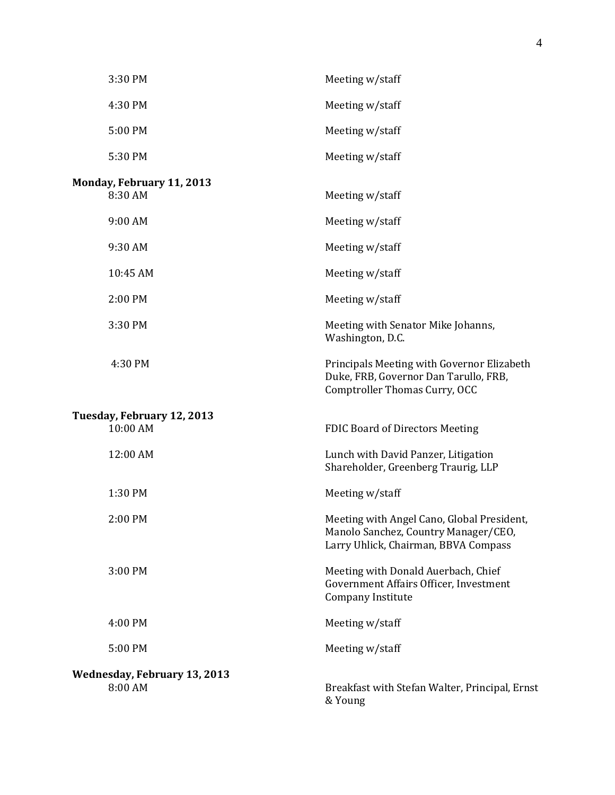| 3:30 PM                                        | Meeting w/staff                                                                                                            |
|------------------------------------------------|----------------------------------------------------------------------------------------------------------------------------|
| 4:30 PM                                        | Meeting w/staff                                                                                                            |
| 5:00 PM                                        | Meeting w/staff                                                                                                            |
| 5:30 PM                                        | Meeting w/staff                                                                                                            |
| Monday, February 11, 2013<br>8:30 AM           | Meeting w/staff                                                                                                            |
| 9:00 AM                                        | Meeting w/staff                                                                                                            |
| 9:30 AM                                        | Meeting w/staff                                                                                                            |
| 10:45 AM                                       | Meeting w/staff                                                                                                            |
| 2:00 PM                                        | Meeting w/staff                                                                                                            |
| 3:30 PM                                        | Meeting with Senator Mike Johanns,<br>Washington, D.C.                                                                     |
| 4:30 PM                                        | Principals Meeting with Governor Elizabeth<br>Duke, FRB, Governor Dan Tarullo, FRB,<br>Comptroller Thomas Curry, OCC       |
| Tuesday, February 12, 2013<br>10:00 AM         | <b>FDIC Board of Directors Meeting</b>                                                                                     |
| 12:00 AM                                       | Lunch with David Panzer, Litigation<br>Shareholder, Greenberg Traurig, LLP                                                 |
| 1:30 PM                                        | Meeting w/staff                                                                                                            |
| 2:00 PM                                        | Meeting with Angel Cano, Global President,<br>Manolo Sanchez, Country Manager/CEO,<br>Larry Uhlick, Chairman, BBVA Compass |
| 3:00 PM                                        | Meeting with Donald Auerbach, Chief<br>Government Affairs Officer, Investment<br>Company Institute                         |
| 4:00 PM                                        | Meeting w/staff                                                                                                            |
| 5:00 PM                                        | Meeting w/staff                                                                                                            |
| <b>Wednesday, February 13, 2013</b><br>8:00 AM | Breakfast with Stefan Walter, Principal, Ernst<br>& Young                                                                  |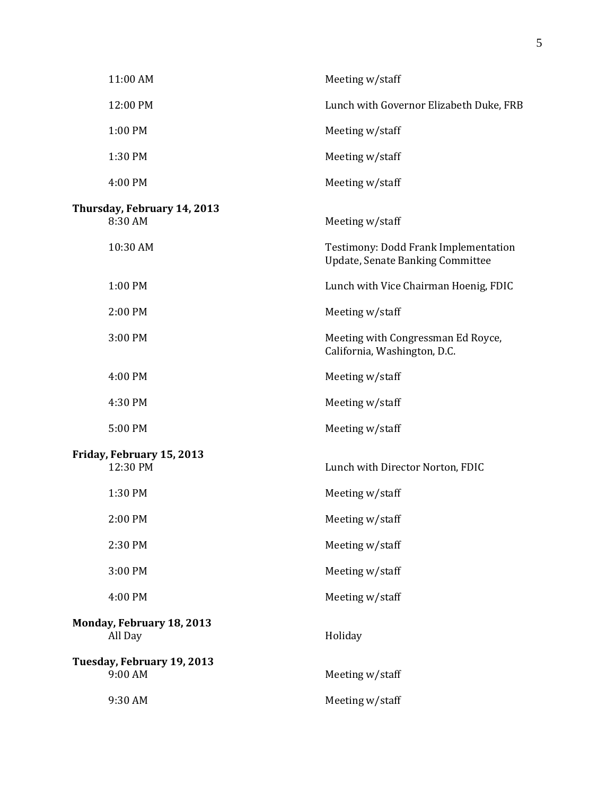| 11:00 AM                               | Meeting w/staff                                                                 |
|----------------------------------------|---------------------------------------------------------------------------------|
| 12:00 PM                               | Lunch with Governor Elizabeth Duke, FRB                                         |
| 1:00 PM                                | Meeting w/staff                                                                 |
| 1:30 PM                                | Meeting w/staff                                                                 |
| 4:00 PM                                | Meeting w/staff                                                                 |
| Thursday, February 14, 2013<br>8:30 AM | Meeting w/staff                                                                 |
| 10:30 AM                               | Testimony: Dodd Frank Implementation<br><b>Update, Senate Banking Committee</b> |
| 1:00 PM                                | Lunch with Vice Chairman Hoenig, FDIC                                           |
| 2:00 PM                                | Meeting w/staff                                                                 |
| 3:00 PM                                | Meeting with Congressman Ed Royce,<br>California, Washington, D.C.              |
| 4:00 PM                                | Meeting w/staff                                                                 |
| 4:30 PM                                | Meeting w/staff                                                                 |
| 5:00 PM                                | Meeting w/staff                                                                 |
| Friday, February 15, 2013<br>12:30 PM  | Lunch with Director Norton, FDIC                                                |
| 1:30 PM                                | Meeting w/staff                                                                 |
| 2:00 PM                                | Meeting w/staff                                                                 |
| 2:30 PM                                | Meeting w/staff                                                                 |
| 3:00 PM                                | Meeting w/staff                                                                 |
| 4:00 PM                                | Meeting w/staff                                                                 |
| Monday, February 18, 2013<br>All Day   | Holiday                                                                         |
| Tuesday, February 19, 2013<br>9:00 AM  | Meeting w/staff                                                                 |
| 9:30 AM                                | Meeting w/staff                                                                 |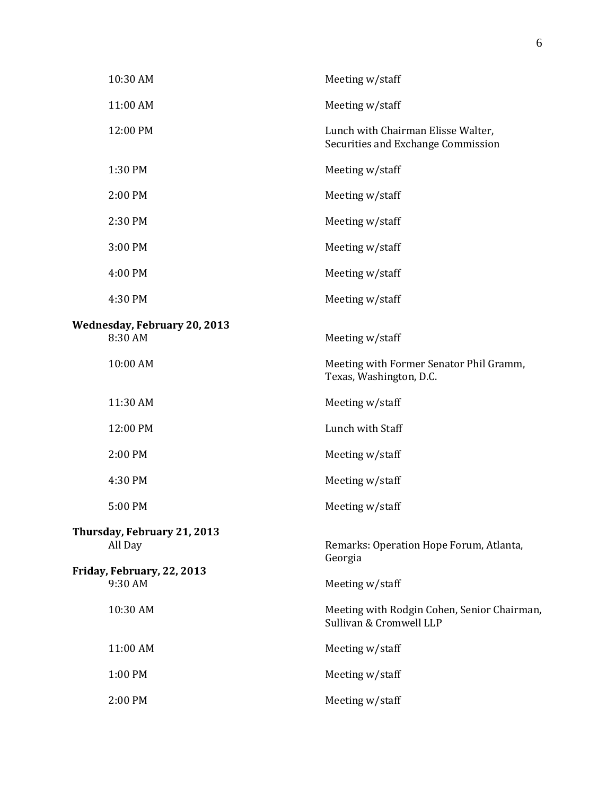| 10:30 AM                                       | Meeting w/staff                                                          |
|------------------------------------------------|--------------------------------------------------------------------------|
| 11:00 AM                                       | Meeting w/staff                                                          |
| 12:00 PM                                       | Lunch with Chairman Elisse Walter,<br>Securities and Exchange Commission |
| 1:30 PM                                        | Meeting w/staff                                                          |
| 2:00 PM                                        | Meeting w/staff                                                          |
| 2:30 PM                                        | Meeting w/staff                                                          |
| 3:00 PM                                        | Meeting w/staff                                                          |
| 4:00 PM                                        | Meeting w/staff                                                          |
| 4:30 PM                                        | Meeting w/staff                                                          |
| <b>Wednesday, February 20, 2013</b><br>8:30 AM | Meeting w/staff                                                          |
| 10:00 AM                                       | Meeting with Former Senator Phil Gramm,<br>Texas, Washington, D.C.       |
| 11:30 AM                                       | Meeting w/staff                                                          |
| 12:00 PM                                       | Lunch with Staff                                                         |
| 2:00 PM                                        | Meeting w/staff                                                          |
| 4:30 PM                                        | Meeting w/staff                                                          |
| 5:00 PM                                        | Meeting w/staff                                                          |
| Thursday, February 21, 2013<br>All Day         | Remarks: Operation Hope Forum, Atlanta,<br>Georgia                       |
| Friday, February, 22, 2013<br>9:30 AM          | Meeting w/staff                                                          |
| 10:30 AM                                       | Meeting with Rodgin Cohen, Senior Chairman,<br>Sullivan & Cromwell LLP   |
| 11:00 AM                                       | Meeting w/staff                                                          |
| 1:00 PM                                        | Meeting w/staff                                                          |
| 2:00 PM                                        | Meeting w/staff                                                          |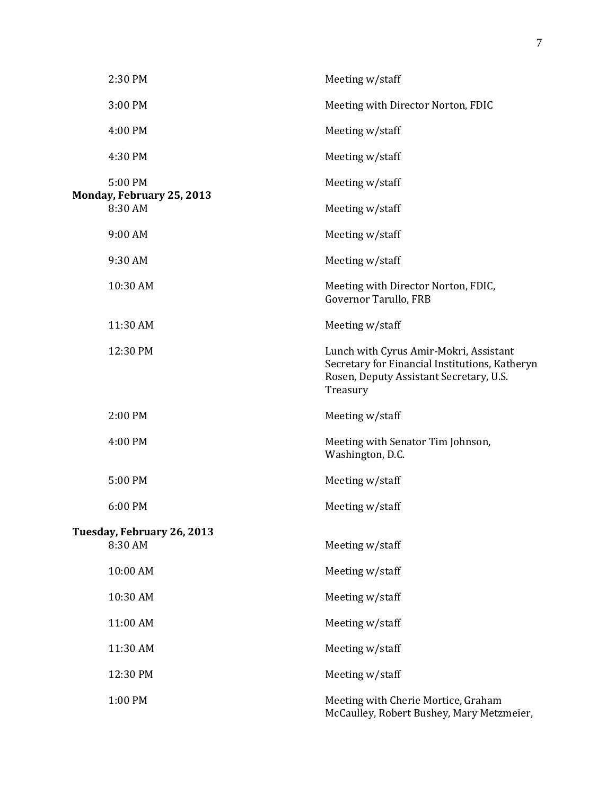| 2:30 PM                               | Meeting w/staff                                                                                                                                 |
|---------------------------------------|-------------------------------------------------------------------------------------------------------------------------------------------------|
| 3:00 PM                               | Meeting with Director Norton, FDIC                                                                                                              |
| 4:00 PM                               | Meeting w/staff                                                                                                                                 |
| 4:30 PM                               | Meeting w/staff                                                                                                                                 |
| 5:00 PM                               | Meeting w/staff                                                                                                                                 |
| Monday, February 25, 2013<br>8:30 AM  | Meeting w/staff                                                                                                                                 |
| 9:00 AM                               | Meeting w/staff                                                                                                                                 |
| 9:30 AM                               | Meeting w/staff                                                                                                                                 |
| 10:30 AM                              | Meeting with Director Norton, FDIC,<br>Governor Tarullo, FRB                                                                                    |
| 11:30 AM                              | Meeting w/staff                                                                                                                                 |
| 12:30 PM                              | Lunch with Cyrus Amir-Mokri, Assistant<br>Secretary for Financial Institutions, Katheryn<br>Rosen, Deputy Assistant Secretary, U.S.<br>Treasury |
| 2:00 PM                               | Meeting w/staff                                                                                                                                 |
| 4:00 PM                               | Meeting with Senator Tim Johnson,<br>Washington, D.C.                                                                                           |
| 5:00 PM                               | Meeting w/staff                                                                                                                                 |
| 6:00 PM                               | Meeting w/staff                                                                                                                                 |
| Tuesday, February 26, 2013<br>8:30 AM | Meeting w/staff                                                                                                                                 |
| 10:00 AM                              | Meeting w/staff                                                                                                                                 |
| 10:30 AM                              | Meeting w/staff                                                                                                                                 |
| 11:00 AM                              | Meeting w/staff                                                                                                                                 |
| 11:30 AM                              | Meeting w/staff                                                                                                                                 |
| 12:30 PM                              | Meeting w/staff                                                                                                                                 |
| 1:00 PM                               | Meeting with Cherie Mortice, Graham<br>McCaulley, Robert Bushey, Mary Metzmeier,                                                                |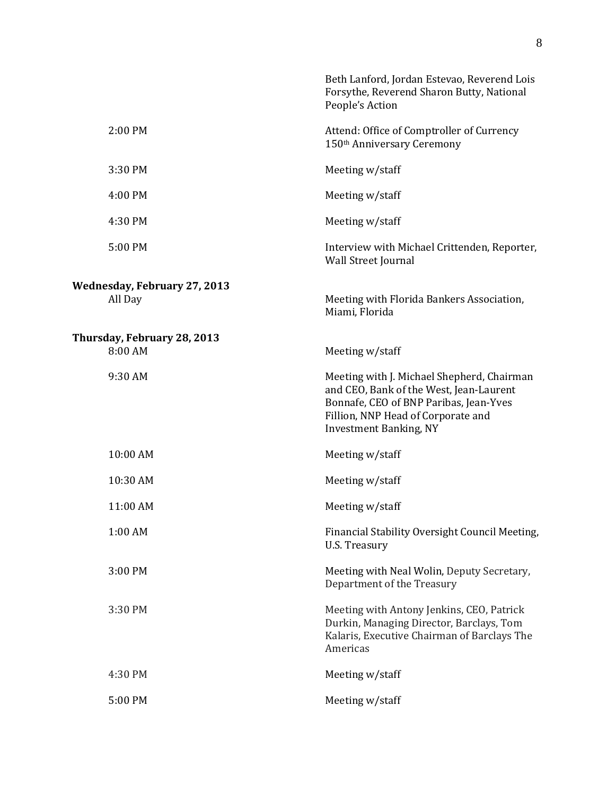|                                                | Beth Lanford, Jordan Estevao, Reverend Lois<br>Forsythe, Reverend Sharon Butty, National<br>People's Action                                                                                            |
|------------------------------------------------|--------------------------------------------------------------------------------------------------------------------------------------------------------------------------------------------------------|
| 2:00 PM                                        | Attend: Office of Comptroller of Currency<br>150th Anniversary Ceremony                                                                                                                                |
| 3:30 PM                                        | Meeting w/staff                                                                                                                                                                                        |
| 4:00 PM                                        | Meeting w/staff                                                                                                                                                                                        |
| 4:30 PM                                        | Meeting w/staff                                                                                                                                                                                        |
| 5:00 PM                                        | Interview with Michael Crittenden, Reporter,<br>Wall Street Journal                                                                                                                                    |
| <b>Wednesday, February 27, 2013</b><br>All Day | Meeting with Florida Bankers Association,<br>Miami, Florida                                                                                                                                            |
| Thursday, February 28, 2013<br>8:00 AM         | Meeting w/staff                                                                                                                                                                                        |
| 9:30 AM                                        | Meeting with J. Michael Shepherd, Chairman<br>and CEO, Bank of the West, Jean-Laurent<br>Bonnafe, CEO of BNP Paribas, Jean-Yves<br>Fillion, NNP Head of Corporate and<br><b>Investment Banking, NY</b> |
| 10:00 AM                                       | Meeting w/staff                                                                                                                                                                                        |
| 10:30 AM                                       | Meeting w/staff                                                                                                                                                                                        |
| 11:00 AM                                       | Meeting w/staff                                                                                                                                                                                        |
| 1:00 AM                                        | Financial Stability Oversight Council Meeting,<br>U.S. Treasury                                                                                                                                        |
| 3:00 PM                                        | Meeting with Neal Wolin, Deputy Secretary,<br>Department of the Treasury                                                                                                                               |
| 3:30 PM                                        | Meeting with Antony Jenkins, CEO, Patrick<br>Durkin, Managing Director, Barclays, Tom<br>Kalaris, Executive Chairman of Barclays The<br>Americas                                                       |
| 4:30 PM                                        | Meeting w/staff                                                                                                                                                                                        |
| 5:00 PM                                        | Meeting w/staff                                                                                                                                                                                        |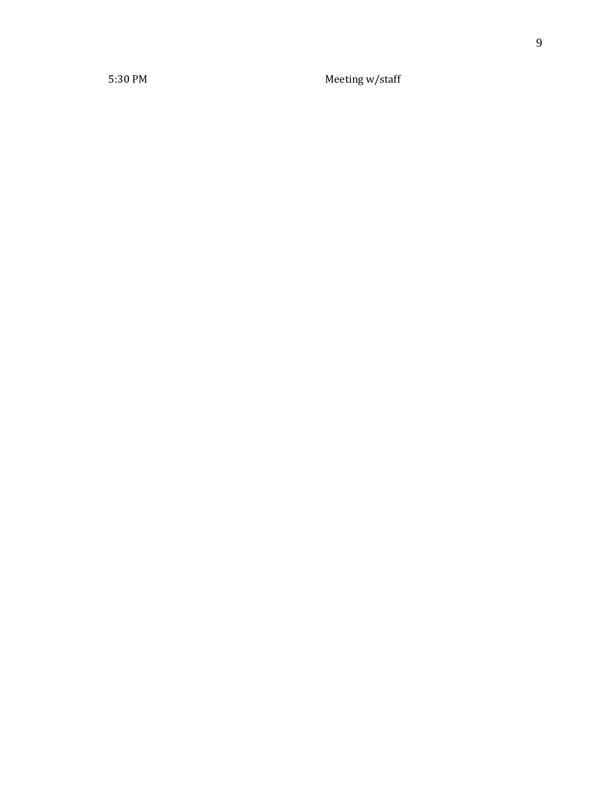5:30 PM Meeting w/staff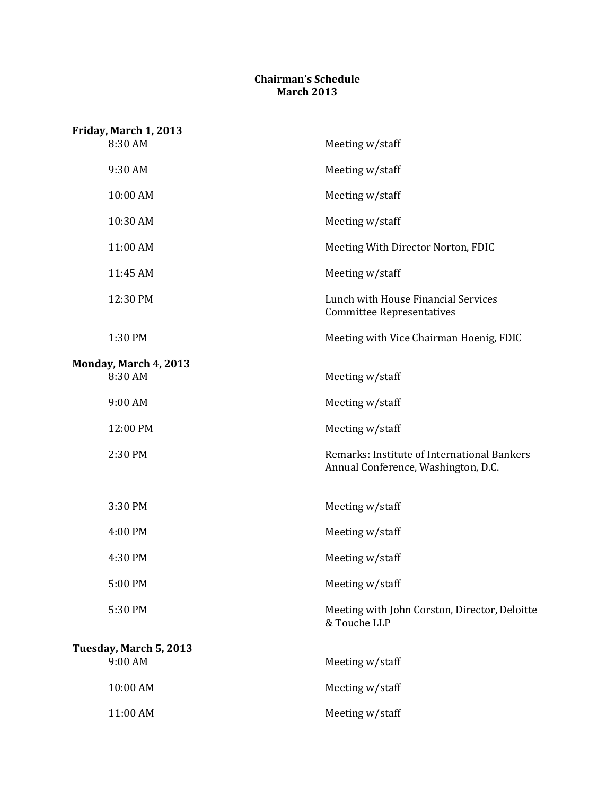## **Chairman's Schedule March 2013**

| Friday, March 1, 2013            |                                                                                    |
|----------------------------------|------------------------------------------------------------------------------------|
| 8:30 AM                          | Meeting w/staff                                                                    |
| 9:30 AM                          | Meeting w/staff                                                                    |
| 10:00 AM                         | Meeting w/staff                                                                    |
| 10:30 AM                         | Meeting w/staff                                                                    |
| 11:00 AM                         | Meeting With Director Norton, FDIC                                                 |
| 11:45 AM                         | Meeting w/staff                                                                    |
| 12:30 PM                         | Lunch with House Financial Services<br><b>Committee Representatives</b>            |
| 1:30 PM                          | Meeting with Vice Chairman Hoenig, FDIC                                            |
| Monday, March 4, 2013<br>8:30 AM | Meeting w/staff                                                                    |
| 9:00 AM                          | Meeting w/staff                                                                    |
| 12:00 PM                         | Meeting w/staff                                                                    |
| 2:30 PM                          | Remarks: Institute of International Bankers<br>Annual Conference, Washington, D.C. |
| 3:30 PM                          | Meeting w/staff                                                                    |
| 4:00 PM                          | Meeting w/staff                                                                    |
| 4:30 PM                          | Meeting w/staff                                                                    |
| 5:00 PM                          | Meeting w/staff                                                                    |
| 5:30 PM                          | Meeting with John Corston, Director, Deloitte<br>& Touche LLP                      |
| Tuesday, March 5, 2013           |                                                                                    |
| 9:00 AM                          | Meeting w/staff                                                                    |
| 10:00 AM                         | Meeting w/staff                                                                    |
| 11:00 AM                         | Meeting w/staff                                                                    |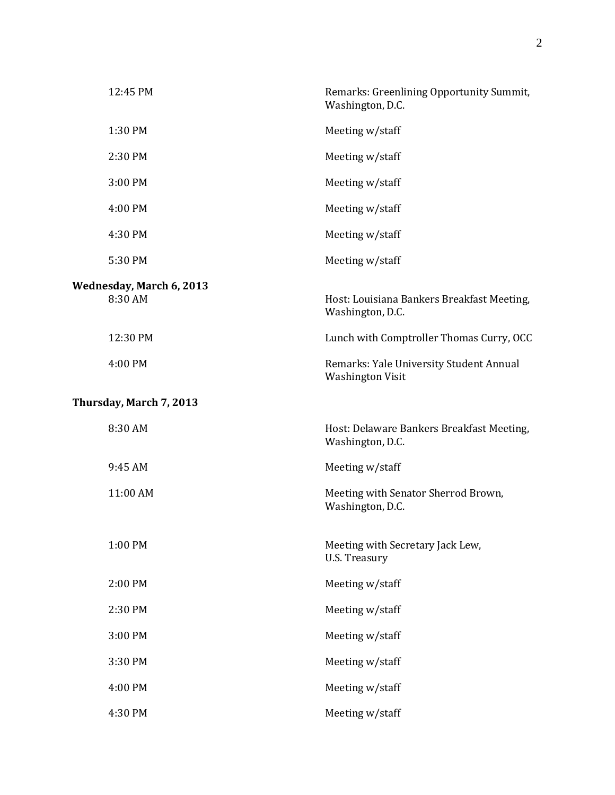| 12:45 PM                            | Remarks: Greenlining Opportunity Summit,<br>Washington, D.C.       |
|-------------------------------------|--------------------------------------------------------------------|
| 1:30 PM                             | Meeting w/staff                                                    |
| 2:30 PM                             | Meeting w/staff                                                    |
| 3:00 PM                             | Meeting w/staff                                                    |
| 4:00 PM                             | Meeting w/staff                                                    |
| 4:30 PM                             | Meeting w/staff                                                    |
| 5:30 PM                             | Meeting w/staff                                                    |
| Wednesday, March 6, 2013<br>8:30 AM | Host: Louisiana Bankers Breakfast Meeting,<br>Washington, D.C.     |
| 12:30 PM                            | Lunch with Comptroller Thomas Curry, OCC                           |
| 4:00 PM                             | Remarks: Yale University Student Annual<br><b>Washington Visit</b> |
| Thursday, March 7, 2013             |                                                                    |
| 8:30 AM                             | Host: Delaware Bankers Breakfast Meeting,<br>Washington, D.C.      |
| 9:45 AM                             | Meeting w/staff                                                    |
| 11:00 AM                            | Meeting with Senator Sherrod Brown,<br>Washington, D.C.            |
| 1:00 PM                             | Meeting with Secretary Jack Lew,<br>U.S. Treasury                  |
| 2:00 PM                             | Meeting w/staff                                                    |
| 2:30 PM                             | Meeting w/staff                                                    |
| 3:00 PM                             | Meeting w/staff                                                    |
| 3:30 PM                             | Meeting w/staff                                                    |
| 4:00 PM                             | Meeting w/staff                                                    |
| 4:30 PM                             | Meeting w/staff                                                    |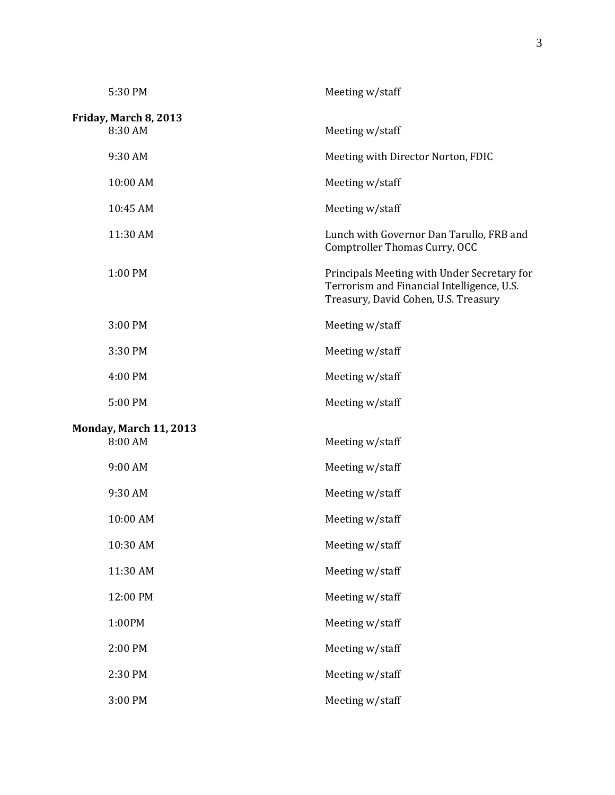| 5:30 PM                                  | Meeting w/staff                                                                                                                   |
|------------------------------------------|-----------------------------------------------------------------------------------------------------------------------------------|
| Friday, March 8, 2013<br>8:30 AM         | Meeting w/staff                                                                                                                   |
| 9:30 AM                                  | Meeting with Director Norton, FDIC                                                                                                |
| 10:00 AM                                 | Meeting w/staff                                                                                                                   |
| 10:45 AM                                 | Meeting w/staff                                                                                                                   |
| 11:30 AM                                 | Lunch with Governor Dan Tarullo, FRB and<br>Comptroller Thomas Curry, OCC                                                         |
| 1:00 PM                                  | Principals Meeting with Under Secretary for<br>Terrorism and Financial Intelligence, U.S.<br>Treasury, David Cohen, U.S. Treasury |
| 3:00 PM                                  | Meeting w/staff                                                                                                                   |
| 3:30 PM                                  | Meeting w/staff                                                                                                                   |
| 4:00 PM                                  | Meeting w/staff                                                                                                                   |
| 5:00 PM                                  | Meeting w/staff                                                                                                                   |
| <b>Monday, March 11, 2013</b><br>8:00 AM | Meeting w/staff                                                                                                                   |
| 9:00 AM                                  | Meeting w/staff                                                                                                                   |
| 9:30 AM                                  | Meeting w/staff                                                                                                                   |
| 10:00 AM                                 | Meeting w/staff                                                                                                                   |
| 10:30 AM                                 | Meeting w/staff                                                                                                                   |
| 11:30 AM                                 | Meeting w/staff                                                                                                                   |
| 12:00 PM                                 | Meeting w/staff                                                                                                                   |
| 1:00PM                                   | Meeting w/staff                                                                                                                   |
| 2:00 PM                                  | Meeting w/staff                                                                                                                   |
| 2:30 PM                                  | Meeting w/staff                                                                                                                   |
| 3:00 PM                                  | Meeting w/staff                                                                                                                   |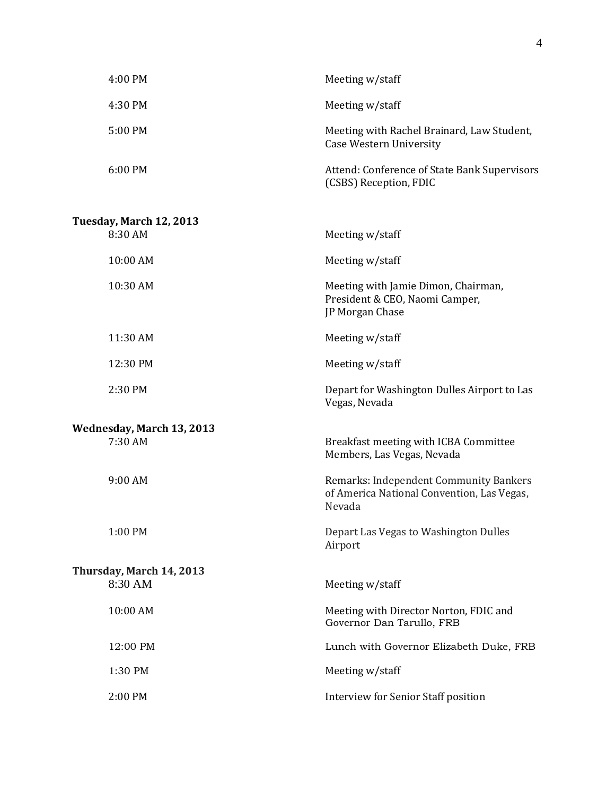| 4:00 PM                   | Meeting w/staff                                                                                |
|---------------------------|------------------------------------------------------------------------------------------------|
| 4:30 PM                   | Meeting w/staff                                                                                |
| 5:00 PM                   | Meeting with Rachel Brainard, Law Student,<br><b>Case Western University</b>                   |
| 6:00 PM                   | Attend: Conference of State Bank Supervisors<br>(CSBS) Reception, FDIC                         |
| Tuesday, March 12, 2013   |                                                                                                |
| 8:30 AM                   | Meeting w/staff                                                                                |
| 10:00 AM                  | Meeting w/staff                                                                                |
| 10:30 AM                  | Meeting with Jamie Dimon, Chairman,<br>President & CEO, Naomi Camper,<br>JP Morgan Chase       |
| 11:30 AM                  | Meeting w/staff                                                                                |
| 12:30 PM                  | Meeting w/staff                                                                                |
| 2:30 PM                   | Depart for Washington Dulles Airport to Las<br>Vegas, Nevada                                   |
| Wednesday, March 13, 2013 |                                                                                                |
| 7:30 AM                   | Breakfast meeting with ICBA Committee<br>Members, Las Vegas, Nevada                            |
| 9:00 AM                   | Remarks: Independent Community Bankers<br>of America National Convention, Las Vegas,<br>Nevada |
| 1:00 PM                   | Depart Las Vegas to Washington Dulles<br>Airport                                               |
| Thursday, March 14, 2013  |                                                                                                |
| 8:30 AM                   | Meeting w/staff                                                                                |
| 10:00 AM                  | Meeting with Director Norton, FDIC and<br>Governor Dan Tarullo, FRB                            |
| 12:00 PM                  | Lunch with Governor Elizabeth Duke, FRB                                                        |
| 1:30 PM                   | Meeting w/staff                                                                                |
| 2:00 PM                   | <b>Interview for Senior Staff position</b>                                                     |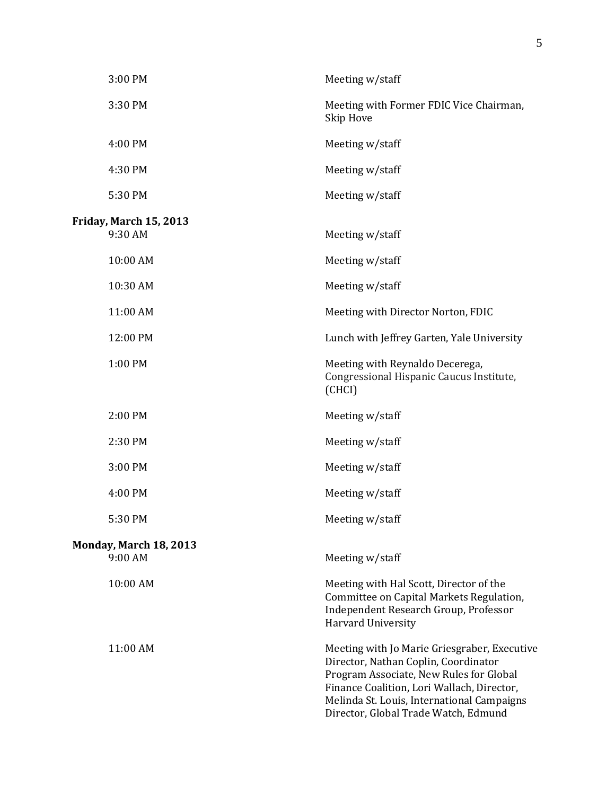| 3:00 PM                                  | Meeting w/staff                                                                                                                                                                                                                                                     |
|------------------------------------------|---------------------------------------------------------------------------------------------------------------------------------------------------------------------------------------------------------------------------------------------------------------------|
| 3:30 PM                                  | Meeting with Former FDIC Vice Chairman,<br>Skip Hove                                                                                                                                                                                                                |
| 4:00 PM                                  | Meeting w/staff                                                                                                                                                                                                                                                     |
| 4:30 PM                                  | Meeting w/staff                                                                                                                                                                                                                                                     |
| 5:30 PM                                  | Meeting w/staff                                                                                                                                                                                                                                                     |
| <b>Friday, March 15, 2013</b><br>9:30 AM | Meeting w/staff                                                                                                                                                                                                                                                     |
| 10:00 AM                                 | Meeting w/staff                                                                                                                                                                                                                                                     |
| 10:30 AM                                 | Meeting w/staff                                                                                                                                                                                                                                                     |
| 11:00 AM                                 | Meeting with Director Norton, FDIC                                                                                                                                                                                                                                  |
| 12:00 PM                                 | Lunch with Jeffrey Garten, Yale University                                                                                                                                                                                                                          |
| 1:00 PM                                  | Meeting with Reynaldo Decerega,<br>Congressional Hispanic Caucus Institute,<br>(CHCI)                                                                                                                                                                               |
| 2:00 PM                                  | Meeting w/staff                                                                                                                                                                                                                                                     |
| 2:30 PM                                  | Meeting w/staff                                                                                                                                                                                                                                                     |
| 3:00 PM                                  | Meeting w/staff                                                                                                                                                                                                                                                     |
| 4:00 PM                                  | Meeting w/staff                                                                                                                                                                                                                                                     |
| 5:30 PM                                  | Meeting w/staff                                                                                                                                                                                                                                                     |
| Monday, March 18, 2013<br>9:00 AM        | Meeting w/staff                                                                                                                                                                                                                                                     |
| 10:00 AM                                 | Meeting with Hal Scott, Director of the<br>Committee on Capital Markets Regulation,<br>Independent Research Group, Professor<br>Harvard University                                                                                                                  |
| 11:00 AM                                 | Meeting with Jo Marie Griesgraber, Executive<br>Director, Nathan Coplin, Coordinator<br>Program Associate, New Rules for Global<br>Finance Coalition, Lori Wallach, Director,<br>Melinda St. Louis, International Campaigns<br>Director, Global Trade Watch, Edmund |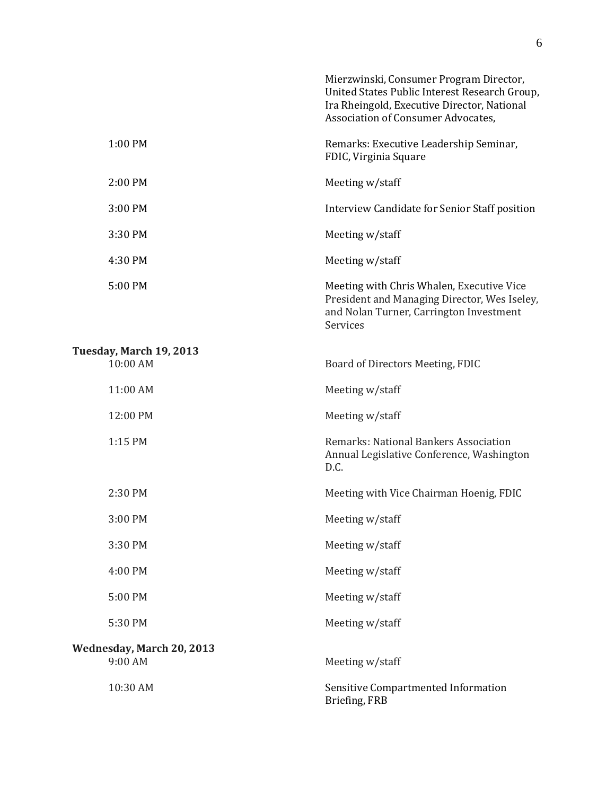|                                      | Mierzwinski, Consumer Program Director,<br>United States Public Interest Research Group,<br>Ira Rheingold, Executive Director, National<br>Association of Consumer Advocates, |
|--------------------------------------|-------------------------------------------------------------------------------------------------------------------------------------------------------------------------------|
| 1:00 PM                              | Remarks: Executive Leadership Seminar,<br>FDIC, Virginia Square                                                                                                               |
| 2:00 PM                              | Meeting w/staff                                                                                                                                                               |
| 3:00 PM                              | Interview Candidate for Senior Staff position                                                                                                                                 |
| 3:30 PM                              | Meeting w/staff                                                                                                                                                               |
| 4:30 PM                              | Meeting w/staff                                                                                                                                                               |
| 5:00 PM                              | Meeting with Chris Whalen, Executive Vice<br>President and Managing Director, Wes Iseley,<br>and Nolan Turner, Carrington Investment<br>Services                              |
| Tuesday, March 19, 2013<br>10:00 AM  | Board of Directors Meeting, FDIC                                                                                                                                              |
| 11:00 AM                             | Meeting w/staff                                                                                                                                                               |
| 12:00 PM                             | Meeting w/staff                                                                                                                                                               |
| 1:15 PM                              | Remarks: National Bankers Association<br>Annual Legislative Conference, Washington<br>D.C.                                                                                    |
| 2:30 PM                              | Meeting with Vice Chairman Hoenig, FDIC                                                                                                                                       |
| 3:00 PM                              | Meeting w/staff                                                                                                                                                               |
| 3:30 PM                              | Meeting w/staff                                                                                                                                                               |
| 4:00 PM                              | Meeting w/staff                                                                                                                                                               |
| 5:00 PM                              | Meeting w/staff                                                                                                                                                               |
| 5:30 PM                              | Meeting w/staff                                                                                                                                                               |
| Wednesday, March 20, 2013<br>9:00 AM | Meeting w/staff                                                                                                                                                               |
| 10:30 AM                             | Sensitive Compartmented Information<br>Briefing, FRB                                                                                                                          |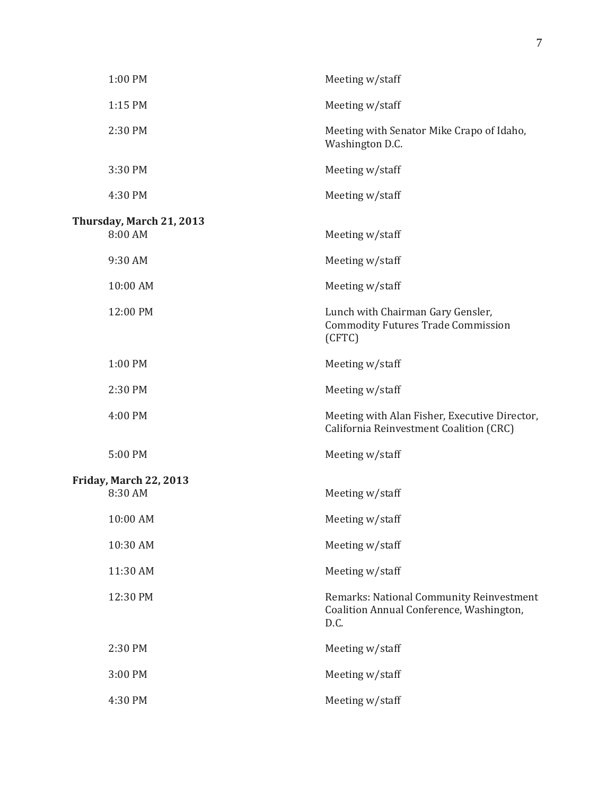| 1:00 PM                                  | Meeting w/staff                                                                              |
|------------------------------------------|----------------------------------------------------------------------------------------------|
| 1:15 PM                                  | Meeting w/staff                                                                              |
| 2:30 PM                                  | Meeting with Senator Mike Crapo of Idaho,<br>Washington D.C.                                 |
| 3:30 PM                                  | Meeting w/staff                                                                              |
| 4:30 PM                                  | Meeting w/staff                                                                              |
| Thursday, March 21, 2013<br>8:00 AM      | Meeting w/staff                                                                              |
| 9:30 AM                                  | Meeting w/staff                                                                              |
| 10:00 AM                                 | Meeting w/staff                                                                              |
| 12:00 PM                                 | Lunch with Chairman Gary Gensler,<br><b>Commodity Futures Trade Commission</b><br>(CFTC)     |
| 1:00 PM                                  | Meeting w/staff                                                                              |
| 2:30 PM                                  | Meeting w/staff                                                                              |
| 4:00 PM                                  | Meeting with Alan Fisher, Executive Director,<br>California Reinvestment Coalition (CRC)     |
| 5:00 PM                                  | Meeting w/staff                                                                              |
| <b>Friday, March 22, 2013</b><br>8:30 AM | Meeting w/staff                                                                              |
| 10:00 AM                                 | Meeting w/staff                                                                              |
| 10:30 AM                                 | Meeting w/staff                                                                              |
| 11:30 AM                                 | Meeting w/staff                                                                              |
| 12:30 PM                                 | Remarks: National Community Reinvestment<br>Coalition Annual Conference, Washington,<br>D.C. |
| 2:30 PM                                  | Meeting w/staff                                                                              |
| 3:00 PM                                  | Meeting w/staff                                                                              |
| 4:30 PM                                  | Meeting w/staff                                                                              |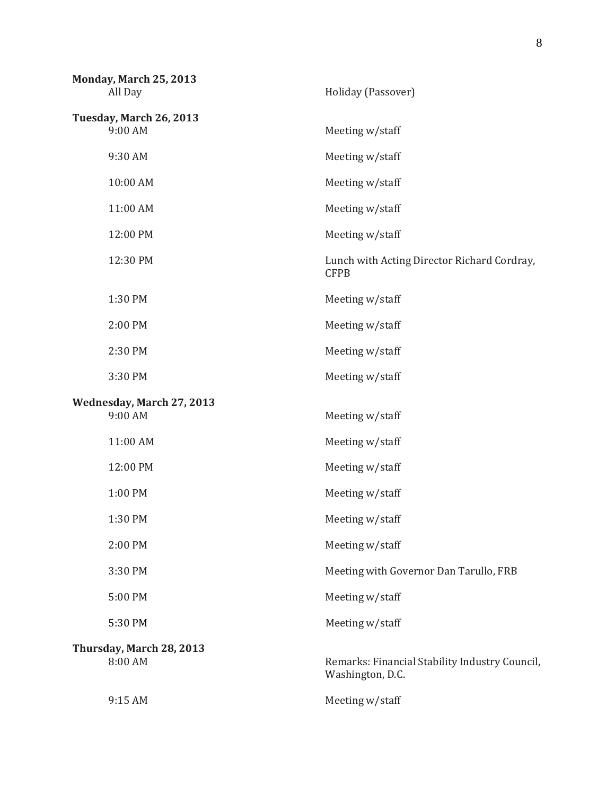| Monday, March 25, 2013<br>All Day    | Holiday (Passover)                                                 |
|--------------------------------------|--------------------------------------------------------------------|
| Tuesday, March 26, 2013<br>9:00 AM   | Meeting w/staff                                                    |
| 9:30 AM                              | Meeting w/staff                                                    |
| 10:00 AM                             | Meeting w/staff                                                    |
| 11:00 AM                             | Meeting w/staff                                                    |
| 12:00 PM                             | Meeting w/staff                                                    |
| 12:30 PM                             | Lunch with Acting Director Richard Cordray,<br><b>CFPB</b>         |
| 1:30 PM                              | Meeting w/staff                                                    |
| 2:00 PM                              | Meeting w/staff                                                    |
| 2:30 PM                              | Meeting w/staff                                                    |
| 3:30 PM                              | Meeting w/staff                                                    |
| Wednesday, March 27, 2013<br>9:00 AM | Meeting w/staff                                                    |
| 11:00 AM                             | Meeting w/staff                                                    |
| 12:00 PM                             | Meeting w/staff                                                    |
| 1:00 PM                              | Meeting w/staff                                                    |
| 1:30 PM                              | Meeting w/staff                                                    |
| 2:00 PM                              | Meeting w/staff                                                    |
| 3:30 PM                              | Meeting with Governor Dan Tarullo, FRB                             |
| 5:00 PM                              | Meeting w/staff                                                    |
| 5:30 PM                              | Meeting w/staff                                                    |
| Thursday, March 28, 2013<br>8:00 AM  | Remarks: Financial Stability Industry Council,<br>Washington, D.C. |
|                                      |                                                                    |